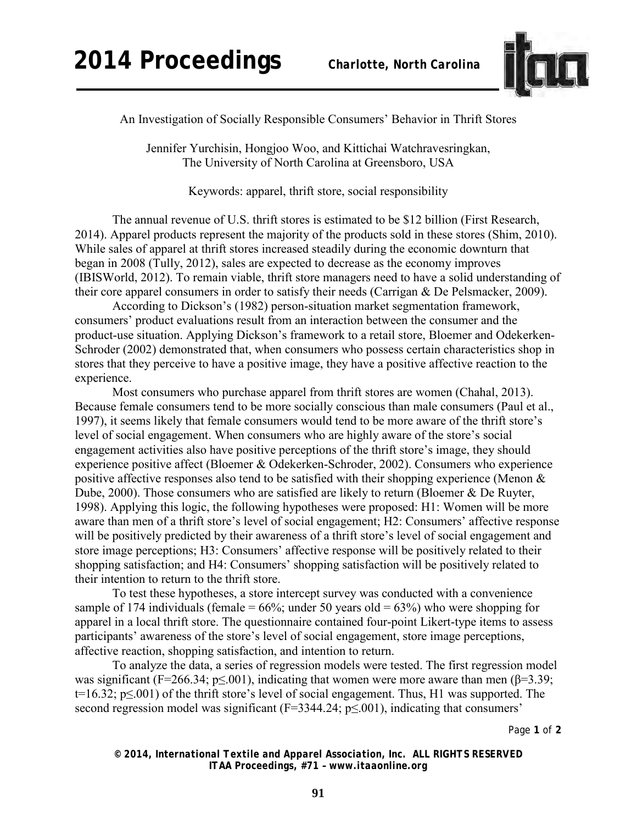

An Investigation of Socially Responsible Consumers' Behavior in Thrift Stores

Jennifer Yurchisin, Hongjoo Woo, and Kittichai Watchravesringkan, The University of North Carolina at Greensboro, USA

Keywords: apparel, thrift store, social responsibility

The annual revenue of U.S. thrift stores is estimated to be \$12 billion (First Research, 2014). Apparel products represent the majority of the products sold in these stores (Shim, 2010). While sales of apparel at thrift stores increased steadily during the economic downturn that began in 2008 (Tully, 2012), sales are expected to decrease as the economy improves (IBISWorld, 2012). To remain viable, thrift store managers need to have a solid understanding of their core apparel consumers in order to satisfy their needs (Carrigan & De Pelsmacker, 2009).

According to Dickson's (1982) person-situation market segmentation framework, consumers' product evaluations result from an interaction between the consumer and the product-use situation. Applying Dickson's framework to a retail store, Bloemer and Odekerken-Schroder (2002) demonstrated that, when consumers who possess certain characteristics shop in stores that they perceive to have a positive image, they have a positive affective reaction to the experience.

Most consumers who purchase apparel from thrift stores are women (Chahal, 2013). Because female consumers tend to be more socially conscious than male consumers (Paul et al., 1997), it seems likely that female consumers would tend to be more aware of the thrift store's level of social engagement. When consumers who are highly aware of the store's social engagement activities also have positive perceptions of the thrift store's image, they should experience positive affect (Bloemer & Odekerken-Schroder, 2002). Consumers who experience positive affective responses also tend to be satisfied with their shopping experience (Menon & Dube, 2000). Those consumers who are satisfied are likely to return (Bloemer & De Ruyter, 1998). Applying this logic, the following hypotheses were proposed: H1: Women will be more aware than men of a thrift store's level of social engagement; H2: Consumers' affective response will be positively predicted by their awareness of a thrift store's level of social engagement and store image perceptions; H3: Consumers' affective response will be positively related to their shopping satisfaction; and H4: Consumers' shopping satisfaction will be positively related to their intention to return to the thrift store.

To test these hypotheses, a store intercept survey was conducted with a convenience sample of 174 individuals (female =  $66\%$ ; under 50 years old =  $63\%$ ) who were shopping for apparel in a local thrift store. The questionnaire contained four-point Likert-type items to assess participants' awareness of the store's level of social engagement, store image perceptions, affective reaction, shopping satisfaction, and intention to return.

To analyze the data, a series of regression models were tested. The first regression model was significant (F=266.34; p $\leq$ .001), indicating that women were more aware than men ( $\beta$ =3.39; t=16.32; p≤.001) of the thrift store's level of social engagement. Thus, H1 was supported. The second regression model was significant ( $F=3344.24$ ;  $p\leq 0.001$ ), indicating that consumers'

Page **1** of **2** 

*© 2014, International Textile and Apparel Association, Inc. ALL RIGHTS RESERVED ITAA Proceedings, #71 – www.itaaonline.org*